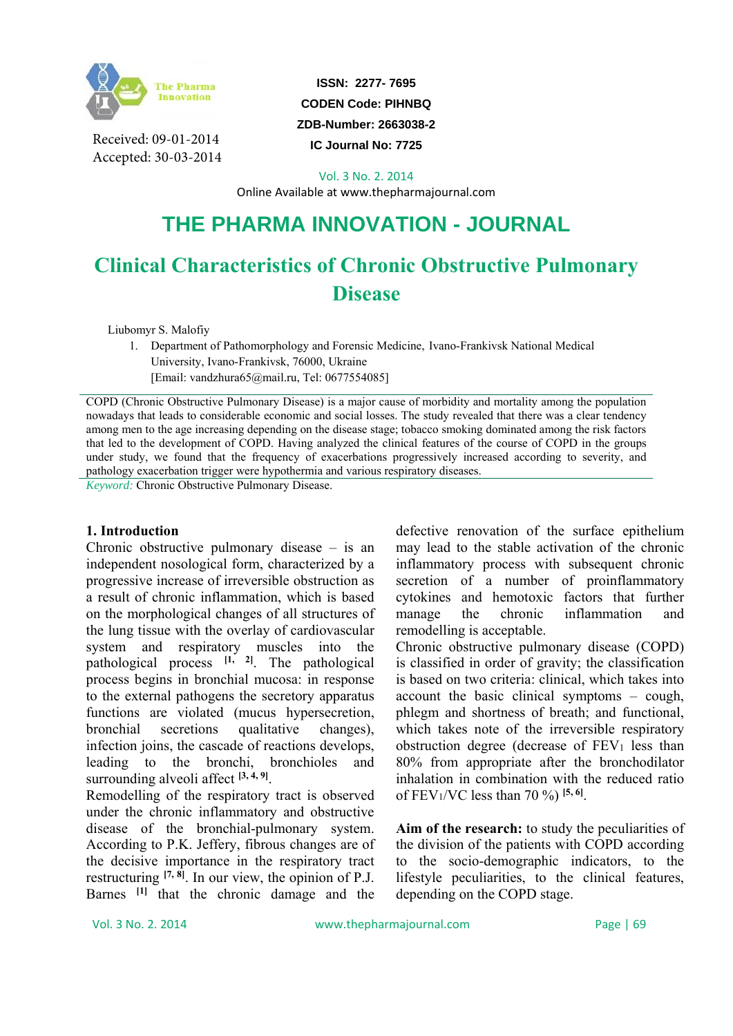

Received: 09-01-2014 Accepted: 30-03-2014

**ISSN: 2277- 7695 CODEN Code: PIHNBQ** 

**ZDB-Number: 2663038-2** 

**IC Journal No: 7725** 

Vol. 3 No. 2. 2014

Online Available at www.thepharmajournal.com

## **THE PHARMA INNOVATION - JOURNAL**

# **Clinical Characteristics of Chronic Obstructive Pulmonary Disease**

Liubomyr S. Malofiy

1. Department of Pathomorphology and Forensic Medicine, Ivano-Frankivsk National Medical University, Ivano-Frankivsk, 76000, Ukraine [Email: vandzhura65@mail.ru, Tel: 0677554085]

COPD (Chronic Obstructive Pulmonary Disease) is a major cause of morbidity and mortality among the population nowadays that leads to considerable economic and social losses. The study revealed that there was a clear tendency among men to the age increasing depending on the disease stage; tobacco smoking dominated among the risk factors that led to the development of COPD. Having analyzed the clinical features of the course of COPD in the groups under study, we found that the frequency of exacerbations progressively increased according to severity, and pathology exacerbation trigger were hypothermia and various respiratory diseases.

*Keyword:* Chronic Obstructive Pulmonary Disease.

#### **1. Introduction**

Chronic obstructive pulmonary disease – is an independent nosological form, characterized by a progressive increase of irreversible obstruction as a result of chronic inflammation, which is based on the morphological changes of all structures of the lung tissue with the overlay of cardiovascular system and respiratory muscles into the pathological process **[1, 2]**. The pathological process begins in bronchial mucosa: in response to the external pathogens the secretory apparatus functions are violated (mucus hypersecretion, bronchial secretions qualitative changes), infection joins, the cascade of reactions develops, leading to the bronchi, bronchioles and surrounding alveoli affect **[3, 4, 9]**.

Remodelling of the respiratory tract is observed under the chronic inflammatory and obstructive disease of the bronchial-pulmonary system. According to P.K. Jeffery, fibrous changes are of the decisive importance in the respiratory tract restructuring  $[7, 8]$ . In our view, the opinion of P.J. Barnes **[1]** that the chronic damage and the

defective renovation of the surface epithelium may lead to the stable activation of the chronic inflammatory process with subsequent chronic secretion of a number of proinflammatory cytokines and hemotoxic factors that further manage the chronic inflammation and remodelling is acceptable.

Chronic obstructive pulmonary disease (COPD) is classified in order of gravity; the classification is based on two criteria: clinical, which takes into account the basic clinical symptoms – cough, phlegm and shortness of breath; and functional, which takes note of the irreversible respiratory obstruction degree (decrease of  $FEV<sub>1</sub>$  less than 80% from appropriate after the bronchodilator inhalation in combination with the reduced ratio of FEV1/VC less than 70 %) **[5, 6]**.

**Aim of the research:** to study the peculiarities of the division of the patients with COPD according to the socio-demographic indicators, to the lifestyle peculiarities, to the clinical features, depending on the COPD stage.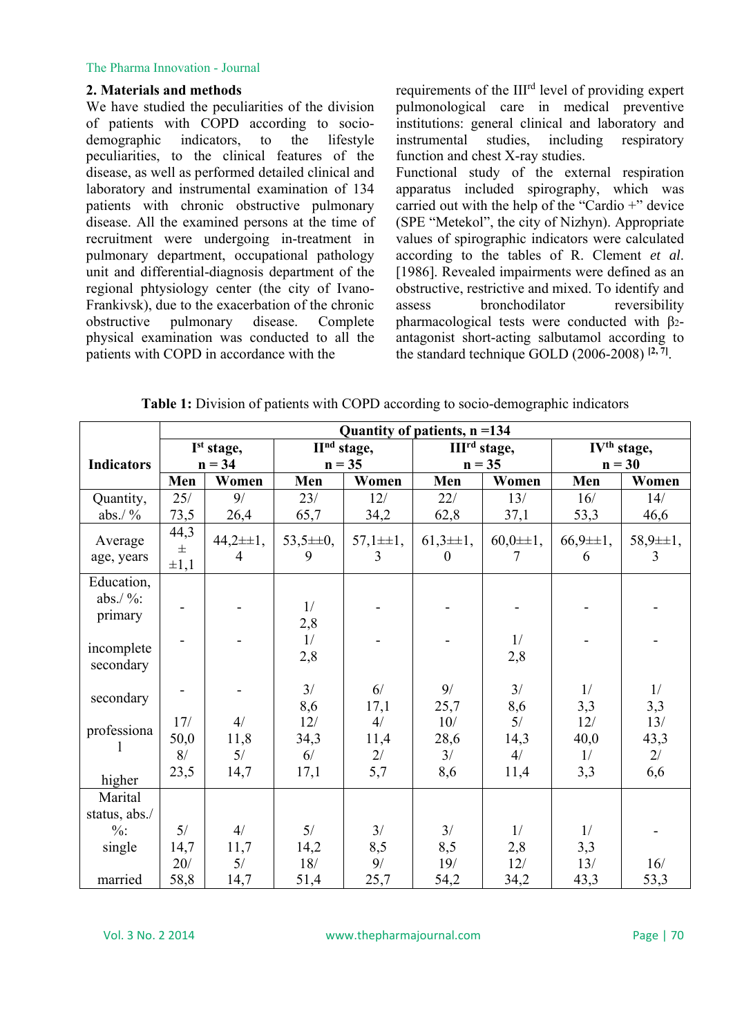#### The Pharma Innovation - Journal

### **2. Materials and methods**

We have studied the peculiarities of the division of patients with COPD according to sociodemographic indicators, to the lifestyle peculiarities, to the clinical features of the disease, as well as performed detailed clinical and laboratory and instrumental examination of 134 patients with chronic obstructive pulmonary disease. All the examined persons at the time of recruitment were undergoing in-treatment in pulmonary department, occupational pathology unit and differential-diagnosis department of the regional phtysiology center (the city of Ivano-Frankivsk), due to the exacerbation of the chronic obstructive pulmonary disease. Complete physical examination was conducted to all the patients with COPD in accordance with the

requirements of the III<sup>rd</sup> level of providing expert pulmonological care in medical preventive institutions: general clinical and laboratory and instrumental studies, including respiratory function and chest X-ray studies.

Functional study of the external respiration apparatus included spirography, which was carried out with the help of the "Cardio +" device (SPE "Metekol", the city of Nizhyn). Appropriate values of spirographic indicators were calculated according to the tables of R. Clement *et al*. [1986]. Revealed impairments were defined as an obstructive, restrictive and mixed. To identify and assess bronchodilator reversibility pharmacological tests were conducted with β2 antagonist short-acting salbutamol according to the standard technique GOLD (2006-2008)  $[2, 7]$ .

|                                      | Quantity of patients, $n = 134$ |                   |                                            |                    |                                |                    |                         |                                 |  |  |
|--------------------------------------|---------------------------------|-------------------|--------------------------------------------|--------------------|--------------------------------|--------------------|-------------------------|---------------------------------|--|--|
|                                      | I <sup>st</sup> stage,          |                   | $\overline{\mathbf{H}}^{\text{nd}}$ stage, |                    | III <sup>rd</sup> stage,       |                    | IV <sup>th</sup> stage, |                                 |  |  |
| <b>Indicators</b>                    | $n = 34$                        |                   | $n = 35$                                   |                    |                                | $n = 35$           | $n = 30$                |                                 |  |  |
|                                      | Men                             | Women             | Men                                        | Women              | Men                            | Women              | Men                     | Women                           |  |  |
| Quantity,                            | 25/                             | 9/                | 23/                                        | 12/                | 22/                            | 13/                | 16/                     | 14/                             |  |  |
| abs. $/$ %                           | 73,5                            | 26,4              | 65,7                                       | 34,2               | 62,8                           | 37,1               | 53,3                    | 46,6                            |  |  |
| Average<br>age, years                | 44,3<br>$\pm$<br>$\pm 1,1$      | $44,2\pm 1,$<br>4 | $53,5 \pm 0,$<br>9                         | $57,1 \pm 1,$<br>3 | $61,3\pm 1,$<br>$\overline{0}$ | $60,0 \pm 1,$<br>7 | $66,9 \pm 1,$<br>6      | $58,9 \pm 1,$<br>$\overline{3}$ |  |  |
| Education,<br>abs. $/$ %:<br>primary |                                 |                   | 1/<br>2,8                                  |                    |                                |                    |                         |                                 |  |  |
| incomplete<br>secondary              |                                 |                   | 1/<br>2,8                                  |                    |                                | 1/<br>2,8          |                         |                                 |  |  |
| secondary                            |                                 |                   | 3/<br>8,6                                  | 6/<br>17,1         | 9/<br>25,7                     | 3/<br>8,6          | 1/<br>3,3               | 1/<br>3,3                       |  |  |
| professiona                          | 17/<br>50,0<br>8/               | 4/<br>11,8<br>5/  | 12/<br>34,3<br>6/                          | 4/<br>11,4<br>2/   | 10/<br>28,6<br>3/              | 5/<br>14,3<br>4/   | 12/<br>40,0<br>1/       | 13/<br>43,3<br>2/               |  |  |
| higher                               | 23,5                            | 14,7              | 17,1                                       | 5,7                | 8,6                            | 11,4               | 3,3                     | 6,6                             |  |  |
| Marital<br>status, abs./             |                                 |                   |                                            |                    |                                |                    |                         |                                 |  |  |
| $\%$ :                               | 5/                              | 4/                | 5/                                         | 3/                 | 3/                             | 1/                 | 1/                      |                                 |  |  |
| single                               | 14,7                            | 11,7              | 14,2                                       | 8,5                | 8,5                            | 2,8                | 3,3                     |                                 |  |  |
|                                      | $20/$                           | 5/                | 18/                                        | 9/                 | 19/                            | 12/                | 13/                     | 16/                             |  |  |
| married                              | 58,8                            | 14,7              | 51,4                                       | 25,7               | 54,2                           | 34,2               | 43,3                    | 53,3                            |  |  |

**Table 1:** Division of patients with COPD according to socio-demographic indicators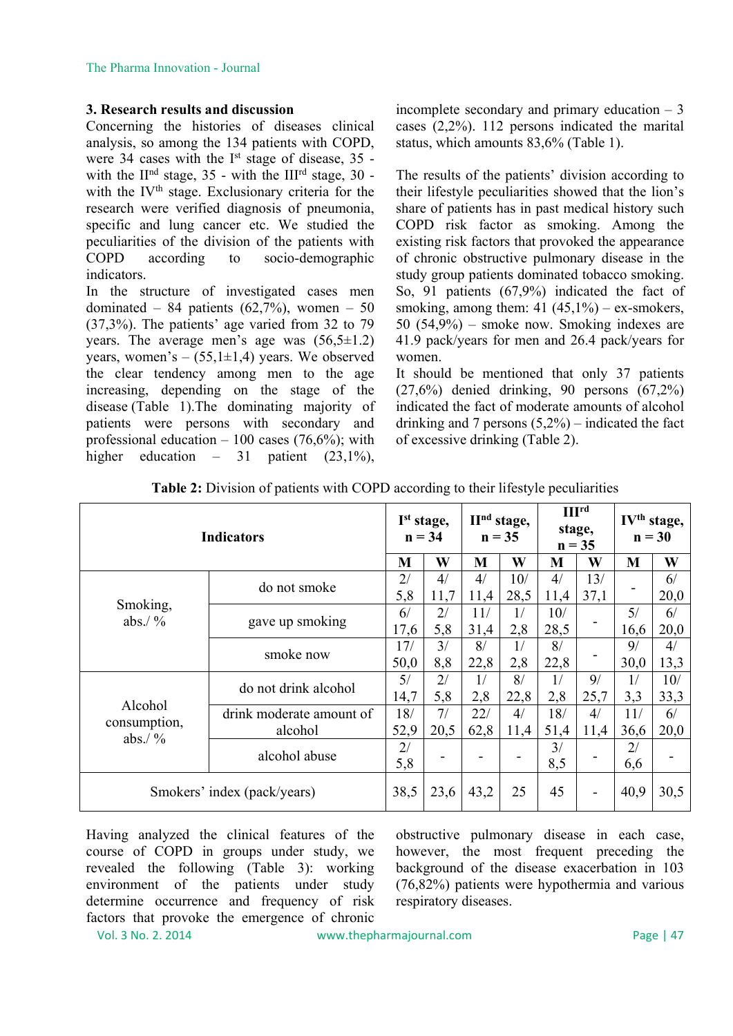#### **3. Research results and discussion**

Concerning the histories of diseases clinical analysis, so among the 134 patients with COPD, were 34 cases with the I<sup>st</sup> stage of disease, 35 with the  $II<sup>nd</sup>$  stage, 35 - with the  $III<sup>rd</sup>$  stage, 30 with the IV<sup>th</sup> stage. Exclusionary criteria for the research were verified diagnosis of pneumonia, specific and lung cancer etc. We studied the peculiarities of the division of the patients with COPD according to socio-demographic indicators.

In the structure of investigated cases men dominated – 84 patients  $(62,7\%)$ , women – 50 (37,3%). The patients' age varied from 32 to 79 years. The average men's age was  $(56,5\pm1.2)$ years, women's  $-$  (55,1 $\pm$ 1,4) years. We observed the clear tendency among men to the age increasing, depending on the stage of the disease (Table 1).The dominating majority of patients were persons with secondary and professional education  $-100$  cases (76,6%); with higher education – 31 patient  $(23,1\%)$ ,

incomplete secondary and primary education  $-3$ cases (2,2%). 112 persons indicated the marital status, which amounts 83,6% (Table 1).

The results of the patients' division according to their lifestyle peculiarities showed that the lion's share of patients has in past medical history such COPD risk factor as smoking. Among the existing risk factors that provoked the appearance of chronic obstructive pulmonary disease in the study group patients dominated tobacco smoking. So, 91 patients (67,9%) indicated the fact of smoking, among them:  $41 (45,1%) - ex$ -smokers, 50 (54,9%) – smoke now. Smoking indexes are 41.9 pack/years for men and 26.4 pack/years for women.

It should be mentioned that only 37 patients (27,6%) denied drinking, 90 persons (67,2%) indicated the fact of moderate amounts of alcohol drinking and 7 persons  $(5,2\%)$  – indicated the fact of excessive drinking (Table 2).

| <b>Indicators</b>                   |                          |      | I <sup>st</sup> stage,<br>$n = 34$ |      | II <sup>nd</sup> stage,<br>$n = 35$ |       | III <sup>rd</sup><br>stage,<br>$n = 35$ |                  | IV <sup>th</sup> stage,<br>$n = 30$ |  |
|-------------------------------------|--------------------------|------|------------------------------------|------|-------------------------------------|-------|-----------------------------------------|------------------|-------------------------------------|--|
|                                     |                          | M    | W                                  | M    | W                                   | M     | W                                       | M                | W                                   |  |
|                                     | do not smoke             | 2/   | 4/                                 | 4/   | 10/                                 | 4/    | 13/                                     |                  | 6/                                  |  |
|                                     |                          | 5,8  | 11,7                               | 11,4 | 28,5                                | 11,4  | 37,1                                    |                  | 20,0                                |  |
| Smoking,<br>abs./ $\frac{9}{6}$     | gave up smoking          | 6/   | 2/                                 | 11/  | 1/                                  | 10/   |                                         | 5/               | 6/                                  |  |
|                                     |                          | 17,6 | 5,8                                | 31,4 | 2,8                                 | 28,5  |                                         | 16,6             | 20,0                                |  |
|                                     | smoke now                | 17/  | 3/                                 | 8/   | 1/                                  | 8/    |                                         | 9/               | 4/                                  |  |
|                                     |                          | 50,0 | 8,8                                | 22,8 | 2,8                                 | 22,8  |                                         | 30,0             | 13,3                                |  |
|                                     | do not drink alcohol     | 5/   | 2/                                 | 1/   | 8/                                  | 1/    | 9/                                      | 1/               | 10/                                 |  |
| Alcohol                             |                          | 14,7 | 5,8                                | 2,8  | 22,8                                | 2,8   | 25,7                                    | 3,3              | 33,3                                |  |
|                                     | drink moderate amount of | 18/  | 7/                                 | 22/  | 4/                                  | $18/$ | 4/                                      | 11/              | 6/                                  |  |
| consumption,<br>abs./ $\frac{9}{6}$ | alcohol                  | 52,9 | 20,5                               | 62,8 | 11,4                                | 51,4  | 11,4                                    | 36,6             | 20,0                                |  |
|                                     | alcohol abuse            | 2/   |                                    |      |                                     | 3/    |                                         | $\overline{2}$ / |                                     |  |
|                                     |                          | 5,8  |                                    |      |                                     | 8,5   |                                         | 6,6              |                                     |  |
| Smokers' index (pack/years)         |                          | 38,5 | 23,6                               | 43,2 | 25                                  | 45    |                                         | 40,9             | 30,5                                |  |

**Table 2:** Division of patients with COPD according to their lifestyle peculiarities

Having analyzed the clinical features of the course of COPD in groups under study, we revealed the following (Table 3): working environment of the patients under study determine occurrence and frequency of risk factors that provoke the emergence of chronic obstructive pulmonary disease in each case, however, the most frequent preceding the background of the disease exacerbation in 103 (76,82%) patients were hypothermia and various respiratory diseases.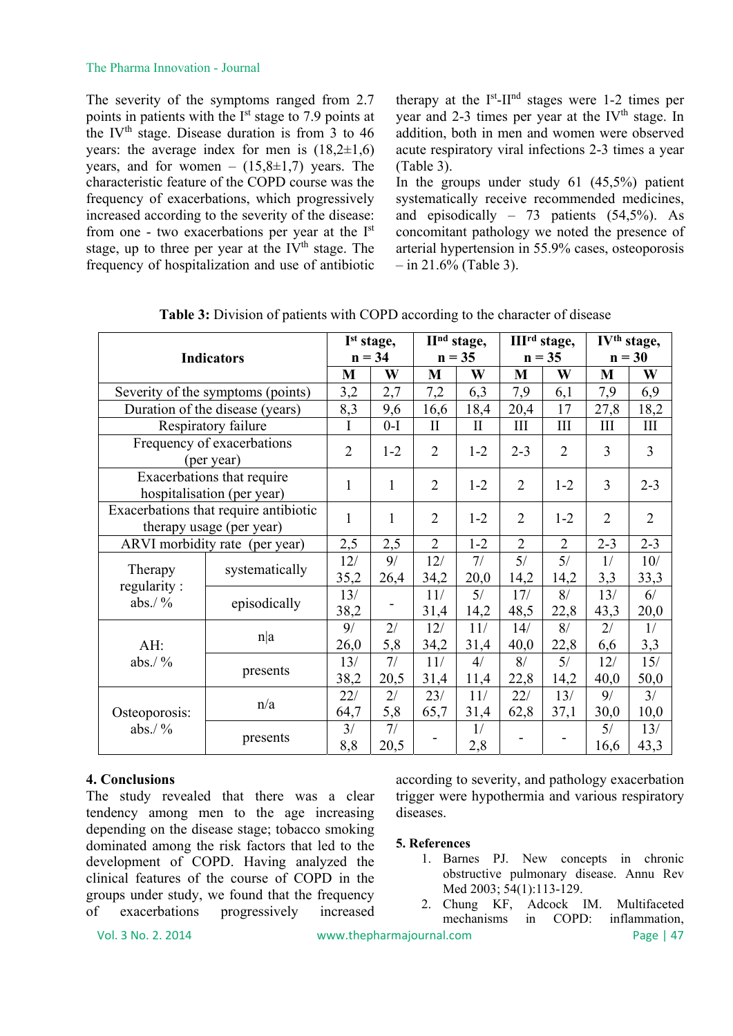#### The Pharma Innovation - Journal

The severity of the symptoms ranged from 2.7 points in patients with the I<sup>st</sup> stage to 7.9 points at the IV<sup>th</sup> stage. Disease duration is from 3 to  $46$ years: the average index for men is  $(18,2\pm 1,6)$ years, and for women –  $(15,8\pm1,7)$  years. The characteristic feature of the COPD course was the frequency of exacerbations, which progressively increased according to the severity of the disease: from one - two exacerbations per year at the Ist stage, up to three per year at the IV<sup>th</sup> stage. The frequency of hospitalization and use of antibiotic therapy at the  $I<sup>st</sup>$ -II<sup>nd</sup> stages were 1-2 times per year and 2-3 times per year at the IV<sup>th</sup> stage. In addition, both in men and women were observed acute respiratory viral infections 2-3 times a year (Table 3).

In the groups under study 61 (45,5%) patient systematically receive recommended medicines, and episodically  $-73$  patients  $(54,5\%)$ . As concomitant pathology we noted the presence of arterial hypertension in 55.9% cases, osteoporosis  $-$  in 21.6% (Table 3).

| <b>Indicators</b>                                                 |                | I <sup>st</sup> stage, |              | II <sup>nd</sup> stage, |          | III <sup>rd</sup> stage, |                | IV <sup>th</sup> stage, |                |  |
|-------------------------------------------------------------------|----------------|------------------------|--------------|-------------------------|----------|--------------------------|----------------|-------------------------|----------------|--|
|                                                                   |                | $n = 34$               |              | $n = 35$                |          | $n = 35$                 |                | $n = 30$                |                |  |
|                                                                   |                | M                      | W            | M                       | W        | M                        | W              | M                       | W              |  |
| Severity of the symptoms (points)                                 |                | 3,2                    | 2,7          | 7,2                     | 6,3      | 7,9                      | 6,1            | 7,9                     | 6,9            |  |
| Duration of the disease (years)                                   |                | 8,3                    | 9,6          | 16,6                    | 18,4     | 20,4                     | 17             | 27,8                    | 18,2           |  |
| Respiratory failure                                               |                | I                      | $0-I$        | $\prod$                 | $\rm II$ | III                      | III            | $\rm III$               | III            |  |
| Frequency of exacerbations<br>(per year)                          |                | $\overline{2}$         | $1 - 2$      | $\overline{2}$          | $1 - 2$  | $2 - 3$                  | $\overline{2}$ | 3                       | $\mathfrak{Z}$ |  |
| Exacerbations that require<br>hospitalisation (per year)          |                | $\mathbf{1}$           | $\mathbf{1}$ | $\overline{2}$          | $1 - 2$  | $\overline{2}$           | $1 - 2$        | $\overline{3}$          | $2 - 3$        |  |
| Exacerbations that require antibiotic<br>therapy usage (per year) |                | $\mathbf{1}$           | 1            | $\overline{2}$          | $1 - 2$  | $\overline{2}$           | $1 - 2$        | $\overline{2}$          | $\overline{2}$ |  |
| ARVI morbidity rate (per year)                                    |                | 2,5                    | 2,5          | $\overline{2}$          | $1 - 2$  | $\overline{2}$           | $\overline{2}$ | $2 - 3$                 | $2 - 3$        |  |
| Therapy<br>regularity:<br>abs./ $\frac{9}{6}$                     | systematically | 12/                    | 9/           | 12/                     | 7/       | 5/                       | 5/             | 1/                      | 10/            |  |
|                                                                   |                | 35,2                   | 26,4         | 34,2                    | 20,0     | 14,2                     | 14,2           | 3,3                     | 33,3           |  |
|                                                                   | episodically   | 13/                    |              | 11/                     | 5/       | 17/                      | 8/             | 13/                     | 6/             |  |
|                                                                   |                | 38,2                   |              | 31,4                    | 14,2     | 48,5                     | 22,8           | 43,3                    | 20,0           |  |
| AH:<br>abs./ $\frac{9}{6}$                                        | n a            | 9/                     | 2/           | 12/                     | 11/      | 14/                      | 8/             | 2/                      | 1/             |  |
|                                                                   |                | 26,0                   | 5,8          | 34,2                    | 31,4     | 40,0                     | 22,8           | 6,6                     | 3,3            |  |
|                                                                   | presents       | 13/                    | 7/           | 11/                     | 4/       | 8/                       | 5/             | 12/                     | 15/            |  |
|                                                                   |                | 38,2                   | 20,5         | 31,4                    | 11,4     | 22,8                     | 14,2           | 40,0                    | 50,0           |  |
| Osteoporosis:<br>abs./ $\frac{9}{6}$                              | n/a            | 22/                    | 2/           | 23/                     | 11/      | 22/                      | 13/            | 9/                      | 3/             |  |
|                                                                   |                | 64,7                   | 5,8          | 65,7                    | 31,4     | 62,8                     | 37,1           | 30,0                    | 10,0           |  |
|                                                                   |                | 3/                     | 7/           |                         | 1/       |                          |                | 5/                      | 13/            |  |
|                                                                   | presents       | 8,8                    | 20,5         |                         | 2,8      |                          |                | 16,6                    | 43,3           |  |

**Table 3:** Division of patients with COPD according to the character of disease

## **4. Conclusions**

The study revealed that there was a clear tendency among men to the age increasing depending on the disease stage; tobacco smoking dominated among the risk factors that led to the development of COPD. Having analyzed the clinical features of the course of COPD in the groups under study, we found that the frequency of exacerbations progressively increased according to severity, and pathology exacerbation trigger were hypothermia and various respiratory diseases.

#### **5. References**

- 1. Barnes PJ. New concepts in chronic obstructive pulmonary disease. Annu Rev Med 2003; 54(1):113-129.
- 2. Chung KF, Adcock IM. Multifaceted mechanisms in COPD: inflammation,

Vol. 3 No. 2. 2014 www.thepharmajournal.com Page | 47